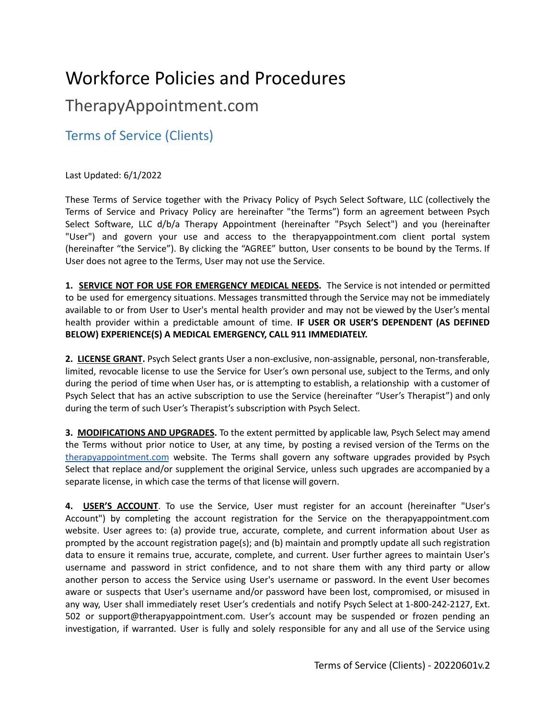## Workforce Policies and Procedures

## TherapyAppointment.com

Terms of Service (Clients)

## Last Updated: 6/1/2022

These Terms of Service together with the Privacy Policy of Psych Select Software, LLC (collectively the Terms of Service and Privacy Policy are hereinafter "the Terms") form an agreement between Psych Select Software, LLC d/b/a Therapy Appointment (hereinafter "Psych Select") and you (hereinafter "User") and govern your use and access to the therapyappointment.com client portal system (hereinafter "the Service"). By clicking the "AGREE" button, User consents to be bound by the Terms. If User does not agree to the Terms, User may not use the Service.

**1. SERVICE NOT FOR USE FOR EMERGENCY MEDICAL NEEDS.** The Service is not intended or permitted to be used for emergency situations. Messages transmitted through the Service may not be immediately available to or from User to User's mental health provider and may not be viewed by the User's mental health provider within a predictable amount of time. **IF USER OR USER'S DEPENDENT (AS DEFINED BELOW) EXPERIENCE(S) A MEDICAL EMERGENCY, CALL 911 IMMEDIATELY.**

**2. LICENSE GRANT.** Psych Select grants User a non-exclusive, non-assignable, personal, non-transferable, limited, revocable license to use the Service for User's own personal use, subject to the Terms, and only during the period of time when User has, or is attempting to establish, a relationship with a customer of Psych Select that has an active subscription to use the Service (hereinafter "User's Therapist") and only during the term of such User's Therapist's subscription with Psych Select.

**3. MODIFICATIONS AND UPGRADES.** To the extent permitted by applicable law, Psych Select may amend the Terms without prior notice to User, at any time, by posting a revised version of the Terms on th[e](https://urldefense.proofpoint.com/v2/url?u=http-3A__THERAPYAPPOINTMENT.COM&d=CwMFaQ&c=g8FCMqU8uBN-Y4xLlzOJvg&r=hxjyYZoPSFGBoTTo5L15Q7wp64zCIYHKjOzVNhMXPK4&m=rDoY80LTj0eyWUJO_peXJIuOFlq_jgW-zF09Gz4Booo&s=TGxfTD6EJpM2sev6P76yUG6C2b5Vo6S2499HpnXZJc8&e=) [therapyappointment.com](https://urldefense.proofpoint.com/v2/url?u=http-3A__THERAPYAPPOINTMENT.COM&d=CwMFaQ&c=g8FCMqU8uBN-Y4xLlzOJvg&r=hxjyYZoPSFGBoTTo5L15Q7wp64zCIYHKjOzVNhMXPK4&m=rDoY80LTj0eyWUJO_peXJIuOFlq_jgW-zF09Gz4Booo&s=TGxfTD6EJpM2sev6P76yUG6C2b5Vo6S2499HpnXZJc8&e=) website. The Terms shall govern any software upgrades provided by Psych Select that replace and/or supplement the original Service, unless such upgrades are accompanied by a separate license, in which case the terms of that license will govern.

**4. USER'S ACCOUNT**. To use the Service, User must register for an account (hereinafter "User's Account") by completing the account registration for the Service on the therapyappointment.com website. User agrees to: (a) provide true, accurate, complete, and current information about User as prompted by the account registration page(s); and (b) maintain and promptly update all such registration data to ensure it remains true, accurate, complete, and current. User further agrees to maintain User's username and password in strict confidence, and to not share them with any third party or allow another person to access the Service using User's username or password. In the event User becomes aware or suspects that User's username and/or password have been lost, compromised, or misused in any way, User shall immediately reset User's credentials and notify Psych Select at 1-800-242-2127, Ext. 502 or support@therapyappointment.com. User's account may be suspended or frozen pending an investigation, if warranted. User is fully and solely responsible for any and all use of the Service using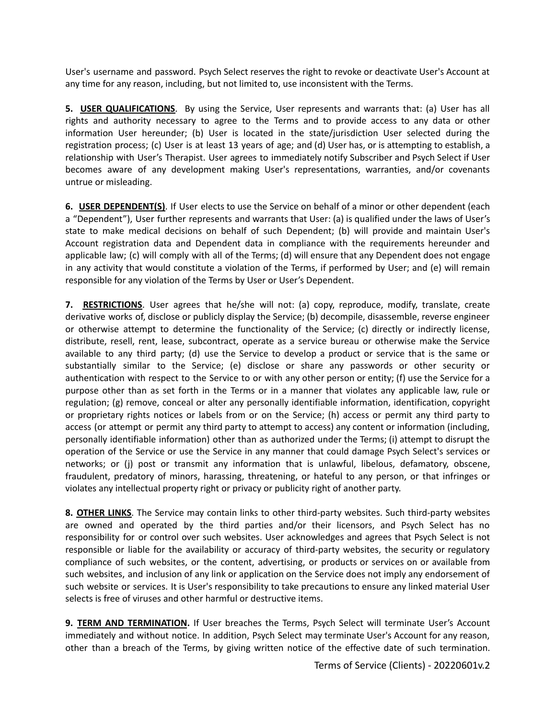User's username and password. Psych Select reserves the right to revoke or deactivate User's Account at any time for any reason, including, but not limited to, use inconsistent with the Terms.

**5. USER QUALIFICATIONS**. By using the Service, User represents and warrants that: (a) User has all rights and authority necessary to agree to the Terms and to provide access to any data or other information User hereunder; (b) User is located in the state/jurisdiction User selected during the registration process; (c) User is at least 13 years of age; and (d) User has, or is attempting to establish, a relationship with User's Therapist. User agrees to immediately notify Subscriber and Psych Select if User becomes aware of any development making User's representations, warranties, and/or covenants untrue or misleading.

**6. USER DEPENDENT(S)**. If User elects to use the Service on behalf of a minor or other dependent (each a "Dependent"), User further represents and warrants that User: (a) is qualified under the laws of User's state to make medical decisions on behalf of such Dependent; (b) will provide and maintain User's Account registration data and Dependent data in compliance with the requirements hereunder and applicable law; (c) will comply with all of the Terms; (d) will ensure that any Dependent does not engage in any activity that would constitute a violation of the Terms, if performed by User; and (e) will remain responsible for any violation of the Terms by User or User's Dependent.

**7. RESTRICTIONS**. User agrees that he/she will not: (a) copy, reproduce, modify, translate, create derivative works of, disclose or publicly display the Service; (b) decompile, disassemble, reverse engineer or otherwise attempt to determine the functionality of the Service; (c) directly or indirectly license, distribute, resell, rent, lease, subcontract, operate as a service bureau or otherwise make the Service available to any third party; (d) use the Service to develop a product or service that is the same or substantially similar to the Service; (e) disclose or share any passwords or other security or authentication with respect to the Service to or with any other person or entity; (f) use the Service for a purpose other than as set forth in the Terms or in a manner that violates any applicable law, rule or regulation; (g) remove, conceal or alter any personally identifiable information, identification, copyright or proprietary rights notices or labels from or on the Service; (h) access or permit any third party to access (or attempt or permit any third party to attempt to access) any content or information (including, personally identifiable information) other than as authorized under the Terms; (i) attempt to disrupt the operation of the Service or use the Service in any manner that could damage Psych Select's services or networks; or (j) post or transmit any information that is unlawful, libelous, defamatory, obscene, fraudulent, predatory of minors, harassing, threatening, or hateful to any person, or that infringes or violates any intellectual property right or privacy or publicity right of another party.

**8. OTHER LINKS**. The Service may contain links to other third-party websites. Such third-party websites are owned and operated by the third parties and/or their licensors, and Psych Select has no responsibility for or control over such websites. User acknowledges and agrees that Psych Select is not responsible or liable for the availability or accuracy of third-party websites, the security or regulatory compliance of such websites, or the content, advertising, or products or services on or available from such websites, and inclusion of any link or application on the Service does not imply any endorsement of such website or services. It is User's responsibility to take precautions to ensure any linked material User selects is free of viruses and other harmful or destructive items.

**9. TERM AND TERMINATION.** If User breaches the Terms, Psych Select will terminate User's Account immediately and without notice. In addition, Psych Select may terminate User's Account for any reason, other than a breach of the Terms, by giving written notice of the effective date of such termination.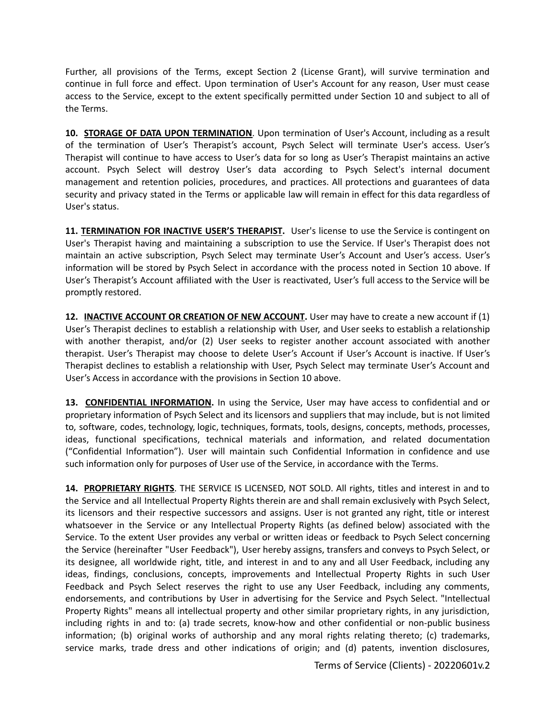Further, all provisions of the Terms, except Section 2 (License Grant), will survive termination and continue in full force and effect. Upon termination of User's Account for any reason, User must cease access to the Service, except to the extent specifically permitted under Section 10 and subject to all of the Terms.

**10. STORAGE OF DATA UPON TERMINATION**. Upon termination of User's Account, including as a result of the termination of User's Therapist's account, Psych Select will terminate User's access. User's Therapist will continue to have access to User's data for so long as User's Therapist maintains an active account. Psych Select will destroy User's data according to Psych Select's internal document management and retention policies, procedures, and practices. All protections and guarantees of data security and privacy stated in the Terms or applicable law will remain in effect for this data regardless of User's status.

**11. TERMINATION FOR INACTIVE USER'S THERAPIST.** User's license to use the Service is contingent on User's Therapist having and maintaining a subscription to use the Service. If User's Therapist does not maintain an active subscription, Psych Select may terminate User's Account and User's access. User's information will be stored by Psych Select in accordance with the process noted in Section 10 above. If User's Therapist's Account affiliated with the User is reactivated, User's full access to the Service will be promptly restored.

**12. INACTIVE ACCOUNT OR CREATION OF NEW ACCOUNT.** User may have to create a new account if (1) User's Therapist declines to establish a relationship with User, and User seeks to establish a relationship with another therapist, and/or (2) User seeks to register another account associated with another therapist. User's Therapist may choose to delete User's Account if User's Account is inactive. If User's Therapist declines to establish a relationship with User, Psych Select may terminate User's Account and User's Access in accordance with the provisions in Section 10 above.

**13. CONFIDENTIAL INFORMATION.** In using the Service, User may have access to confidential and or proprietary information of Psych Select and its licensors and suppliers that may include, but is not limited to, software, codes, technology, logic, techniques, formats, tools, designs, concepts, methods, processes, ideas, functional specifications, technical materials and information, and related documentation ("Confidential Information"). User will maintain such Confidential Information in confidence and use such information only for purposes of User use of the Service, in accordance with the Terms.

**14. PROPRIETARY RIGHTS**. THE SERVICE IS LICENSED, NOT SOLD. All rights, titles and interest in and to the Service and all Intellectual Property Rights therein are and shall remain exclusively with Psych Select, its licensors and their respective successors and assigns. User is not granted any right, title or interest whatsoever in the Service or any Intellectual Property Rights (as defined below) associated with the Service. To the extent User provides any verbal or written ideas or feedback to Psych Select concerning the Service (hereinafter "User Feedback"), User hereby assigns, transfers and conveys to Psych Select, or its designee, all worldwide right, title, and interest in and to any and all User Feedback, including any ideas, findings, conclusions, concepts, improvements and Intellectual Property Rights in such User Feedback and Psych Select reserves the right to use any User Feedback, including any comments, endorsements, and contributions by User in advertising for the Service and Psych Select. "Intellectual Property Rights" means all intellectual property and other similar proprietary rights, in any jurisdiction, including rights in and to: (a) trade secrets, know-how and other confidential or non-public business information; (b) original works of authorship and any moral rights relating thereto; (c) trademarks, service marks, trade dress and other indications of origin; and (d) patents, invention disclosures,

Terms of Service (Clients) - 20220601v.2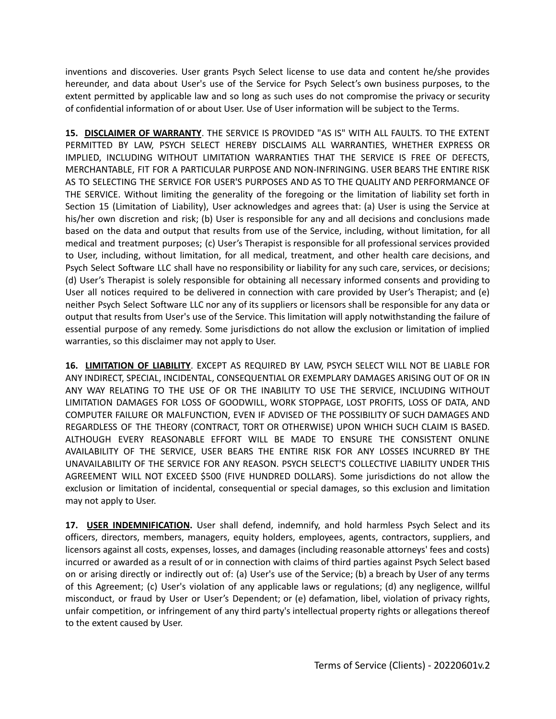inventions and discoveries. User grants Psych Select license to use data and content he/she provides hereunder, and data about User's use of the Service for Psych Select's own business purposes, to the extent permitted by applicable law and so long as such uses do not compromise the privacy or security of confidential information of or about User. Use of User information will be subject to the Terms.

**15. DISCLAIMER OF WARRANTY**. THE SERVICE IS PROVIDED "AS IS" WITH ALL FAULTS. TO THE EXTENT PERMITTED BY LAW, PSYCH SELECT HEREBY DISCLAIMS ALL WARRANTIES, WHETHER EXPRESS OR IMPLIED, INCLUDING WITHOUT LIMITATION WARRANTIES THAT THE SERVICE IS FREE OF DEFECTS, MERCHANTABLE, FIT FOR A PARTICULAR PURPOSE AND NON-INFRINGING. USER BEARS THE ENTIRE RISK AS TO SELECTING THE SERVICE FOR USER'S PURPOSES AND AS TO THE QUALITY AND PERFORMANCE OF THE SERVICE. Without limiting the generality of the foregoing or the limitation of liability set forth in Section 15 (Limitation of Liability), User acknowledges and agrees that: (a) User is using the Service at his/her own discretion and risk; (b) User is responsible for any and all decisions and conclusions made based on the data and output that results from use of the Service, including, without limitation, for all medical and treatment purposes; (c) User's Therapist is responsible for all professional services provided to User, including, without limitation, for all medical, treatment, and other health care decisions, and Psych Select Software LLC shall have no responsibility or liability for any such care, services, or decisions; (d) User's Therapist is solely responsible for obtaining all necessary informed consents and providing to User all notices required to be delivered in connection with care provided by User's Therapist; and (e) neither Psych Select Software LLC nor any of its suppliers or licensors shall be responsible for any data or output that results from User's use of the Service. This limitation will apply notwithstanding the failure of essential purpose of any remedy. Some jurisdictions do not allow the exclusion or limitation of implied warranties, so this disclaimer may not apply to User.

**16. LIMITATION OF LIABILITY**. EXCEPT AS REQUIRED BY LAW, PSYCH SELECT WILL NOT BE LIABLE FOR ANY INDIRECT, SPECIAL, INCIDENTAL, CONSEQUENTIAL OR EXEMPLARY DAMAGES ARISING OUT OF OR IN ANY WAY RELATING TO THE USE OF OR THE INABILITY TO USE THE SERVICE, INCLUDING WITHOUT LIMITATION DAMAGES FOR LOSS OF GOODWILL, WORK STOPPAGE, LOST PROFITS, LOSS OF DATA, AND COMPUTER FAILURE OR MALFUNCTION, EVEN IF ADVISED OF THE POSSIBILITY OF SUCH DAMAGES AND REGARDLESS OF THE THEORY (CONTRACT, TORT OR OTHERWISE) UPON WHICH SUCH CLAIM IS BASED. ALTHOUGH EVERY REASONABLE EFFORT WILL BE MADE TO ENSURE THE CONSISTENT ONLINE AVAILABILITY OF THE SERVICE, USER BEARS THE ENTIRE RISK FOR ANY LOSSES INCURRED BY THE UNAVAILABILITY OF THE SERVICE FOR ANY REASON. PSYCH SELECT'S COLLECTIVE LIABILITY UNDER THIS AGREEMENT WILL NOT EXCEED \$500 (FIVE HUNDRED DOLLARS). Some jurisdictions do not allow the exclusion or limitation of incidental, consequential or special damages, so this exclusion and limitation may not apply to User.

**17. USER INDEMNIFICATION.** User shall defend, indemnify, and hold harmless Psych Select and its officers, directors, members, managers, equity holders, employees, agents, contractors, suppliers, and licensors against all costs, expenses, losses, and damages (including reasonable attorneys' fees and costs) incurred or awarded as a result of or in connection with claims of third parties against Psych Select based on or arising directly or indirectly out of: (a) User's use of the Service; (b) a breach by User of any terms of this Agreement; (c) User's violation of any applicable laws or regulations; (d) any negligence, willful misconduct, or fraud by User or User's Dependent; or (e) defamation, libel, violation of privacy rights, unfair competition, or infringement of any third party's intellectual property rights or allegations thereof to the extent caused by User.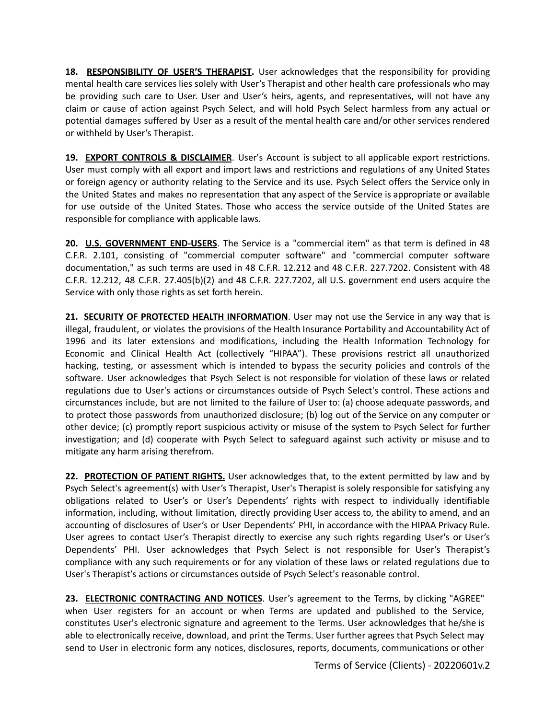**18. RESPONSIBILITY OF USER'S THERAPIST.** User acknowledges that the responsibility for providing mental health care services lies solely with User's Therapist and other health care professionals who may be providing such care to User. User and User's heirs, agents, and representatives, will not have any claim or cause of action against Psych Select, and will hold Psych Select harmless from any actual or potential damages suffered by User as a result of the mental health care and/or other services rendered or withheld by User's Therapist.

**19. EXPORT CONTROLS & DISCLAIMER**. User's Account is subject to all applicable export restrictions. User must comply with all export and import laws and restrictions and regulations of any United States or foreign agency or authority relating to the Service and its use. Psych Select offers the Service only in the United States and makes no representation that any aspect of the Service is appropriate or available for use outside of the United States. Those who access the service outside of the United States are responsible for compliance with applicable laws.

**20. U.S. GOVERNMENT END-USERS**. The Service is a "commercial item" as that term is defined in 48 C.F.R. 2.101, consisting of "commercial computer software" and "commercial computer software documentation," as such terms are used in 48 C.F.R. 12.212 and 48 C.F.R. 227.7202. Consistent with 48 C.F.R. 12.212, 48 C.F.R. 27.405(b)(2) and 48 C.F.R. 227.7202, all U.S. government end users acquire the Service with only those rights as set forth herein.

**21. SECURITY OF PROTECTED HEALTH INFORMATION**. User may not use the Service in any way that is illegal, fraudulent, or violates the provisions of the Health Insurance Portability and Accountability Act of 1996 and its later extensions and modifications, including the Health Information Technology for Economic and Clinical Health Act (collectively "HIPAA"). These provisions restrict all unauthorized hacking, testing, or assessment which is intended to bypass the security policies and controls of the software. User acknowledges that Psych Select is not responsible for violation of these laws or related regulations due to User's actions or circumstances outside of Psych Select's control. These actions and circumstances include, but are not limited to the failure of User to: (a) choose adequate passwords, and to protect those passwords from unauthorized disclosure; (b) log out of the Service on any computer or other device; (c) promptly report suspicious activity or misuse of the system to Psych Select for further investigation; and (d) cooperate with Psych Select to safeguard against such activity or misuse and to mitigate any harm arising therefrom.

**22. PROTECTION OF PATIENT RIGHTS.** User acknowledges that, to the extent permitted by law and by Psych Select's agreement(s) with User's Therapist, User's Therapist is solely responsible for satisfying any obligations related to User's or User's Dependents' rights with respect to individually identifiable information, including, without limitation, directly providing User access to, the ability to amend, and an accounting of disclosures of User's or User Dependents' PHI, in accordance with the HIPAA Privacy Rule. User agrees to contact User's Therapist directly to exercise any such rights regarding User's or User's Dependents' PHI. User acknowledges that Psych Select is not responsible for User's Therapist's compliance with any such requirements or for any violation of these laws or related regulations due to User's Therapist's actions or circumstances outside of Psych Select's reasonable control.

**23. ELECTRONIC CONTRACTING AND NOTICES**. User's agreement to the Terms, by clicking "AGREE" when User registers for an account or when Terms are updated and published to the Service, constitutes User's electronic signature and agreement to the Terms. User acknowledges that he/she is able to electronically receive, download, and print the Terms. User further agrees that Psych Select may send to User in electronic form any notices, disclosures, reports, documents, communications or other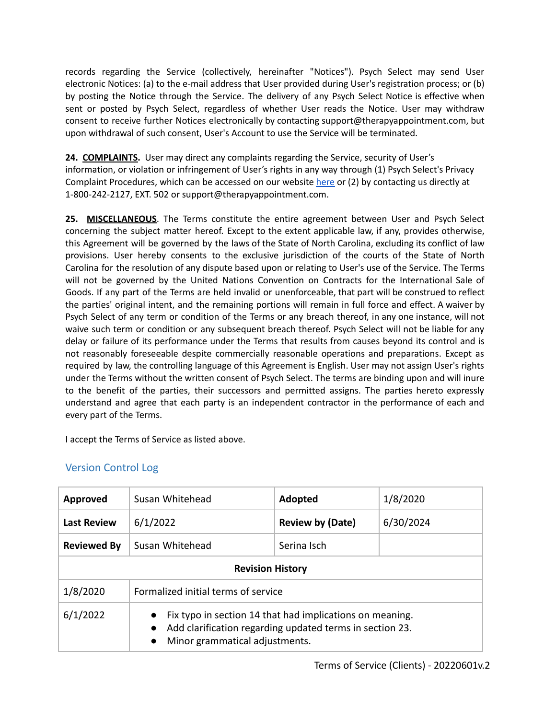records regarding the Service (collectively, hereinafter "Notices"). Psych Select may send User electronic Notices: (a) to the e-mail address that User provided during User's registration process; or (b) by posting the Notice through the Service. The delivery of any Psych Select Notice is effective when sent or posted by Psych Select, regardless of whether User reads the Notice. User may withdraw consent to receive further Notices electronically by contacting support@therapyappointment.com, but upon withdrawal of such consent, User's Account to use the Service will be terminated.

**24. COMPLAINTS.** User may direct any complaints regarding the Service, security of User's information, or violation or infringement of User's rights in any way through (1) Psych Select's Privacy Complaint Procedures, which can be accessed on our website [here](https://cdn2.hubspot.net/hubfs/4913696/TherapyAppointment_June2019/Pdf/Privacy-Complaints-Procedure%5B1%5D.pdf) or (2) by contacting us directly at 1-800-242-2127, EXT. 502 or support@therapyappointment.com.

**25. MISCELLANEOUS**. The Terms constitute the entire agreement between User and Psych Select concerning the subject matter hereof. Except to the extent applicable law, if any, provides otherwise, this Agreement will be governed by the laws of the State of North Carolina, excluding its conflict of law provisions. User hereby consents to the exclusive jurisdiction of the courts of the State of North Carolina for the resolution of any dispute based upon or relating to User's use of the Service. The Terms will not be governed by the United Nations Convention on Contracts for the International Sale of Goods. If any part of the Terms are held invalid or unenforceable, that part will be construed to reflect the parties' original intent, and the remaining portions will remain in full force and effect. A waiver by Psych Select of any term or condition of the Terms or any breach thereof, in any one instance, will not waive such term or condition or any subsequent breach thereof. Psych Select will not be liable for any delay or failure of its performance under the Terms that results from causes beyond its control and is not reasonably foreseeable despite commercially reasonable operations and preparations. Except as required by law, the controlling language of this Agreement is English. User may not assign User's rights under the Terms without the written consent of Psych Select. The terms are binding upon and will inure to the benefit of the parties, their successors and permitted assigns. The parties hereto expressly understand and agree that each party is an independent contractor in the performance of each and every part of the Terms.

I accept the Terms of Service as listed above.

## Version Control Log

| <b>Approved</b>         | Susan Whitehead                                                                                                                                                                  | Adopted                 | 1/8/2020  |
|-------------------------|----------------------------------------------------------------------------------------------------------------------------------------------------------------------------------|-------------------------|-----------|
| <b>Last Review</b>      | 6/1/2022                                                                                                                                                                         | <b>Review by (Date)</b> | 6/30/2024 |
| <b>Reviewed By</b>      | Susan Whitehead                                                                                                                                                                  | Serina Isch             |           |
| <b>Revision History</b> |                                                                                                                                                                                  |                         |           |
| 1/8/2020                | Formalized initial terms of service                                                                                                                                              |                         |           |
| 6/1/2022                | Fix typo in section 14 that had implications on meaning.<br>Add clarification regarding updated terms in section 23.<br>$\bullet$<br>Minor grammatical adjustments.<br>$\bullet$ |                         |           |